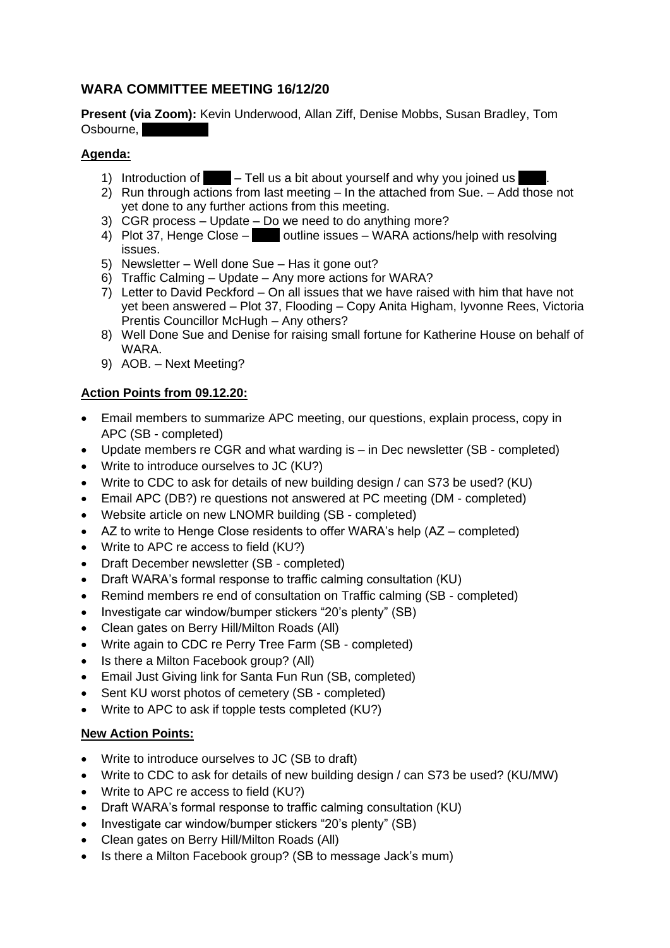## **WARA COMMITTEE MEETING 16/12/20**

**Present (via Zoom):** Kevin Underwood, Allan Ziff, Denise Mobbs, Susan Bradley, Tom Osbourne,

## **Agenda:**

- 1) Introduction of  $\blacksquare$  Tell us a bit about yourself and why you joined us
- 2) Run through actions from last meeting In the attached from Sue. Add those not yet done to any further actions from this meeting.
- 3) CGR process Update Do we need to do anything more?
- 4) Plot 37, Henge Close  $\blacksquare$  outline issues WARA actions/help with resolving issues.
- 5) Newsletter Well done Sue Has it gone out?
- 6) Traffic Calming Update Any more actions for WARA?
- 7) Letter to David Peckford On all issues that we have raised with him that have not yet been answered – Plot 37, Flooding – Copy Anita Higham, Iyvonne Rees, Victoria Prentis Councillor McHugh – Any others?
- 8) Well Done Sue and Denise for raising small fortune for Katherine House on behalf of WARA.
- 9) AOB. Next Meeting?

## **Action Points from 09.12.20:**

- Email members to summarize APC meeting, our questions, explain process, copy in APC (SB - completed)
- Update members re CGR and what warding is in Dec newsletter (SB completed)
- Write to introduce ourselves to JC (KU?)
- Write to CDC to ask for details of new building design / can S73 be used? (KU)
- Email APC (DB?) re questions not answered at PC meeting (DM completed)
- Website article on new LNOMR building (SB completed)
- AZ to write to Henge Close residents to offer WARA's help (AZ completed)
- Write to APC re access to field (KU?)
- Draft December newsletter (SB completed)
- Draft WARA's formal response to traffic calming consultation (KU)
- Remind members re end of consultation on Traffic calming (SB completed)
- Investigate car window/bumper stickers "20's plenty" (SB)
- Clean gates on Berry Hill/Milton Roads (All)
- Write again to CDC re Perry Tree Farm (SB completed)
- Is there a Milton Facebook group? (All)
- Email Just Giving link for Santa Fun Run (SB, completed)
- Sent KU worst photos of cemetery (SB completed)
- Write to APC to ask if topple tests completed (KU?)

## **New Action Points:**

- Write to introduce ourselves to JC (SB to draft)
- Write to CDC to ask for details of new building design / can S73 be used? (KU/MW)
- Write to APC re access to field (KU?)
- Draft WARA's formal response to traffic calming consultation (KU)
- Investigate car window/bumper stickers "20's plenty" (SB)
- Clean gates on Berry Hill/Milton Roads (All)
- Is there a Milton Facebook group? (SB to message Jack's mum)